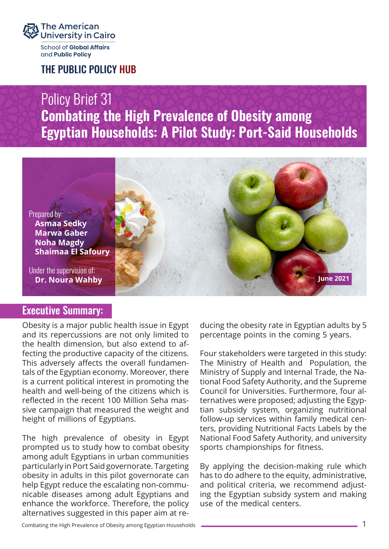

and **Public Policy** 

THE PUBLIC POLICY HUB

# Policy Brief 31 **Combating the High Prevalence of Obesity among Egyptian Households: A Pilot Study: Port-Said Households**



## Executive Summary:

Obesity is a major public health issue in Egypt and its repercussions are not only limited to the health dimension, but also extend to affecting the productive capacity of the citizens. This adversely affects the overall fundamentals of the Egyptian economy. Moreover, there is a current political interest in promoting the health and well-being of the citizens which is reflected in the recent 100 Million Seha massive campaign that measured the weight and height of millions of Egyptians.

The high prevalence of obesity in Egypt prompted us to study how to combat obesity among adult Egyptians in urban communities particularly in Port Said governorate. Targeting obesity in adults in this pilot governorate can help Egypt reduce the escalating non-communicable diseases among adult Egyptians and enhance the workforce. Therefore, the policy alternatives suggested in this paper aim at reducing the obesity rate in Egyptian adults by 5 percentage points in the coming 5 years.

Four stakeholders were targeted in this study: The Ministry of Health and Population, the Ministry of Supply and Internal Trade, the National Food Safety Authority, and the Supreme Council for Universities. Furthermore, four alternatives were proposed; adjusting the Egyptian subsidy system, organizing nutritional follow-up services within family medical centers, providing Nutritional Facts Labels by the National Food Safety Authority, and university sports championships for fitness.

By applying the decision-making rule which has to do adhere to the equity, administrative, and political criteria, we recommend adjusting the Egyptian subsidy system and making use of the medical centers.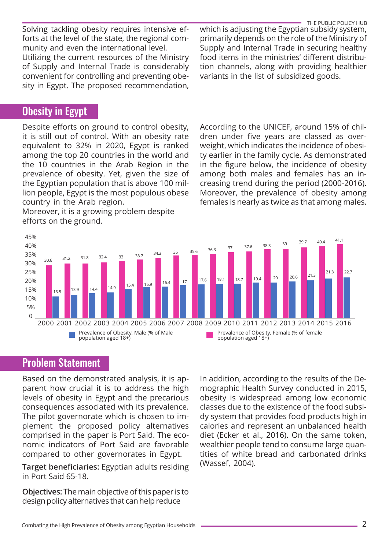Solving tackling obesity requires intensive efforts at the level of the state, the regional community and even the international level.

Utilizing the current resources of the Ministry of Supply and Internal Trade is considerably convenient for controlling and preventing obesity in Egypt. The proposed recommendation,

## Obesity in Egypt

Despite efforts on ground to control obesity, it is still out of control. With an obesity rate equivalent to 32% in 2020, Egypt is ranked among the top 20 countries in the world and the 10 countries in the Arab Region in the prevalence of obesity. Yet, given the size of the Egyptian population that is above 100 million people, Egypt is the most populous obese country in the Arab region.

Moreover, it is a growing problem despite efforts on the ground.

THE PUBLIC POLICY HUB which is adjusting the Egyptian subsidy system, primarily depends on the role of the Ministry of Supply and Internal Trade in securing healthy food items in the ministries' different distribution channels, along with providing healthier variants in the list of subsidized goods.

According to the UNICEF, around 15% of children under five years are classed as overweight, which indicates the incidence of obesity earlier in the family cycle. As demonstrated in the figure below, the incidence of obesity among both males and females has an increasing trend during the period (2000-2016). Moreover, the prevalence of obesity among females is nearly as twice as that among males.



## Problem Statement

Based on the demonstrated analysis, it is apparent how crucial it is to address the high levels of obesity in Egypt and the precarious consequences associated with its prevalence. The pilot governorate which is chosen to implement the proposed policy alternatives comprised in the paper is Port Said. The economic indicators of Port Said are favorable compared to other governorates in Egypt.

**Target beneficiaries:** Egyptian adults residing in Port Said 65-18.

**Objectives:** The main objective of this paper is to design policy alternatives that can help reduce

In addition, according to the results of the Demographic Health Survey conducted in 2015, obesity is widespread among low economic classes due to the existence of the food subsidy system that provides food products high in calories and represent an unbalanced health diet (Ecker et al., 2016). On the same token, wealthier people tend to consume large quantities of white bread and carbonated drinks (Wassef, 2004).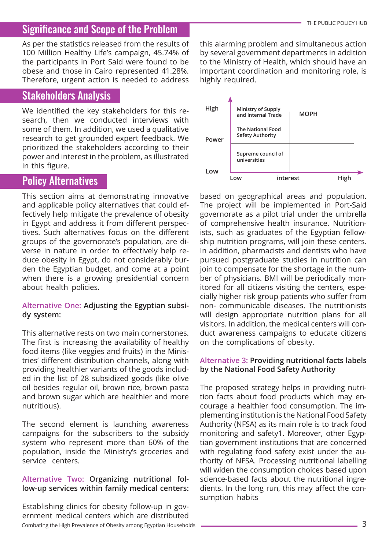# Significance and Scope of the Problem

As per the statistics released from the results of 100 Million Healthy Life's campaign, 45.74% of the participants in Port Said were found to be obese and those in Cairo represented 41.28%. Therefore, urgent action is needed to address

#### Stakeholders Analysis

We identified the key stakeholders for this research, then we conducted interviews with some of them. In addition, we used a qualitative research to get grounded expert feedback. We prioritized the stakeholders according to their power and interest in the problem, as illustrated in this figure.

### Policy Alternatives

This section aims at demonstrating innovative and applicable policy alternatives that could effectively help mitigate the prevalence of obesity in Egypt and address it from different perspectives. Such alternatives focus on the different groups of the governorate's population, are diverse in nature in order to effectively help reduce obesity in Egypt, do not considerably burden the Egyptian budget, and come at a point when there is a growing presidential concern about health policies.

#### **Alternative One: Adjusting the Egyptian subsidy system:**

This alternative rests on two main cornerstones. The first is increasing the availability of healthy food items (like veggies and fruits) in the Ministries' different distribution channels, along with providing healthier variants of the goods included in the list of 28 subsidized goods (like olive oil besides regular oil, brown rice, brown pasta and brown sugar which are healthier and more nutritious).

The second element is launching awareness campaigns for the subscribers to the subsidy system who represent more than 60% of the population, inside the Ministry's groceries and service centers.

#### **Alternative Two: Organizing nutritional follow-up services within family medical centers:**

Establishing clinics for obesity follow-up in government medical centers which are distributed Combating the High Prevalence of Obesity among Egyptian Households 33 (3) 3 and 3 (3) 3 and 3 (3) 3 and 3 (3) 4 and 3 (3) 4 and 3 (3) 4 and 3 (3) 4 and 3 (3) 4 and 3 (3) 4 and 3 (3) 4 and 3 (3) 4 and 3 (3) 4 and 3 (3) 4 an

this alarming problem and simultaneous action by several government departments in addition to the Ministry of Health, which should have an important coordination and monitoring role, is highly required.



based on geographical areas and population. The project will be implemented in Port-Said governorate as a pilot trial under the umbrella of comprehensive health insurance. Nutritionists, such as graduates of the Egyptian fellowship nutrition programs, will join these centers. In addition, pharmacists and dentists who have pursued postgraduate studies in nutrition can join to compensate for the shortage in the number of physicians. BMI will be periodically monitored for all citizens visiting the centers, especially higher risk group patients who suffer from non- communicable diseases. The nutritionists will design appropriate nutrition plans for all visitors. In addition, the medical centers will conduct awareness campaigns to educate citizens on the complications of obesity.

#### **Alternative 3: Providing nutritional facts labels by the National Food Safety Authority**

The proposed strategy helps in providing nutrition facts about food products which may encourage a healthier food consumption. The implementing institution is the National Food Safety Authority (NFSA) as its main role is to track food monitoring and safety1. Moreover, other Egyptian government institutions that are concerned with regulating food safety exist under the authority of NFSA. Processing nutritional labelling will widen the consumption choices based upon science-based facts about the nutritional ingredients. In the long run, this may affect the consumption habits